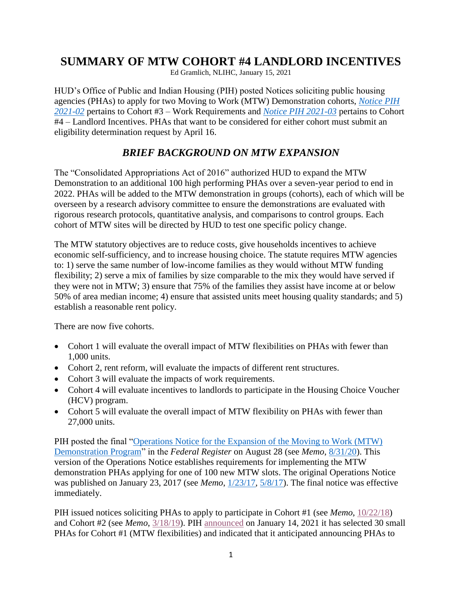## **SUMMARY OF MTW COHORT #4 LANDLORD INCENTIVES**

Ed Gramlich, NLIHC, January 15, 2021

HUD's Office of Public and Indian Housing (PIH) posted Notices soliciting public housing agencies (PHAs) to apply for two Moving to Work (MTW) Demonstration cohorts, *[Notice PIH](https://www.hud.gov/sites/dfiles/PIH/documents/2021-02pihn.pdf)  [2021-02](https://www.hud.gov/sites/dfiles/PIH/documents/2021-02pihn.pdf)* pertains to Cohort #3 – Work Requirements and *[Notice PIH 2021-03](https://www.hud.gov/sites/dfiles/PIH/documents/2021-03pihn.pdf)* pertains to Cohort #4 – Landlord Incentives. PHAs that want to be considered for either cohort must submit an eligibility determination request by April 16.

## *BRIEF BACKGROUND ON MTW EXPANSION*

The "Consolidated Appropriations Act of 2016" authorized HUD to expand the MTW Demonstration to an additional 100 high performing PHAs over a seven-year period to end in 2022. PHAs will be added to the MTW demonstration in groups (cohorts), each of which will be overseen by a research advisory committee to ensure the demonstrations are evaluated with rigorous research protocols, quantitative analysis, and comparisons to control groups. Each cohort of MTW sites will be directed by HUD to test one specific policy change.

The MTW statutory objectives are to reduce costs, give households incentives to achieve economic self-sufficiency, and to increase housing choice. The statute requires MTW agencies to: 1) serve the same number of low-income families as they would without MTW funding flexibility; 2) serve a mix of families by size comparable to the mix they would have served if they were not in MTW; 3) ensure that 75% of the families they assist have income at or below 50% of area median income; 4) ensure that assisted units meet housing quality standards; and 5) establish a reasonable rent policy.

There are now five cohorts.

- Cohort 1 will evaluate the overall impact of MTW flexibilities on PHAs with fewer than 1,000 units.
- Cohort 2, rent reform, will evaluate the impacts of different rent structures.
- Cohort 3 will evaluate the impacts of work requirements.
- Cohort 4 will evaluate incentives to landlords to participate in the Housing Choice Voucher (HCV) program.
- Cohort 5 will evaluate the overall impact of MTW flexibility on PHAs with fewer than 27,000 units.

PIH posted the final ["Operations Notice for the Expansion of the Moving to Work \(MTW\)](https://www.govinfo.gov/content/pkg/FR-2020-08-28/pdf/2020-18152.pdf)  [Demonstration Program"](https://www.govinfo.gov/content/pkg/FR-2020-08-28/pdf/2020-18152.pdf) in the *Federal Register* on August 28 (see *Memo*, [8/31/20\)](https://nlihc.org/resource/hud-pih-publishes-moving-work-mtw-expansion-operations-notice). This version of the Operations Notice establishes requirements for implementing the MTW demonstration PHAs applying for one of 100 new MTW slots. The original Operations Notice was published on January 23, 2017 (see *Memo*, [1/23/17,](https://nlihc.org/article/hud-seeks-phas-apply-new-mtw-slots) [5/8/17\)](https://nlihc.org/resource/comments-mtw-operations-notice-due-june-5). The final notice was effective immediately.

PIH issued notices soliciting PHAs to apply to participate in Cohort #1 (see *Memo*, [10/22/18\)](https://nlihc.org/resource/hud-posts-moving-work-pha-plan-supplement-and-notice-inviting-small-phas-apply-first-mtw) and Cohort #2 (see *Memo*, [3/18/19\)](https://nlihc.org/resource/hud-invites-phas-apply-rent-reform-moving-work-cohort). PIH [announced](https://www.hud.gov/press/press_releases_media_advisories/HUD_No_21_004) on January 14, 2021 it has selected 30 small PHAs for Cohort #1 (MTW flexibilities) and indicated that it anticipated announcing PHAs to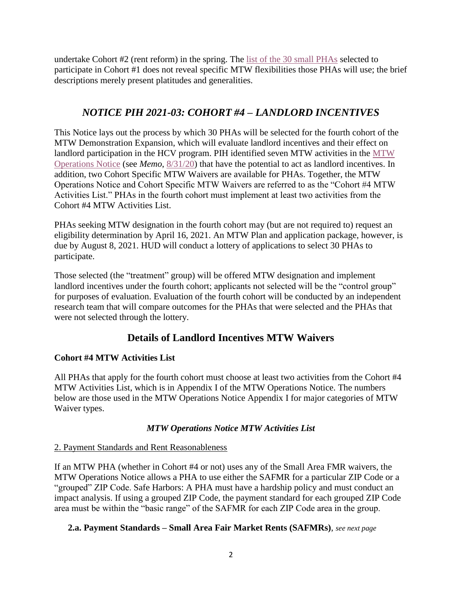undertake Cohort #2 (rent reform) in the spring. The [list of the 30](https://www.hud.gov/sites/dfiles/PIH/documents/MTWExpansionCohort1SelecteesJanuary2021.pdf) small PHAs selected to participate in Cohort #1 does not reveal specific MTW flexibilities those PHAs will use; the brief descriptions merely present platitudes and generalities.

## *NOTICE PIH 2021-03: COHORT #4 – LANDLORD INCENTIVES*

This Notice lays out the process by which 30 PHAs will be selected for the fourth cohort of the MTW Demonstration Expansion, which will evaluate landlord incentives and their effect on landlord participation in the HCV program. PIH identified seven MTW activities in the [MTW](https://www.govinfo.gov/content/pkg/FR-2020-08-28/pdf/2020-18152.pdf)  [Operations Notice](https://www.govinfo.gov/content/pkg/FR-2020-08-28/pdf/2020-18152.pdf) (see *Memo*, [8/31/20\)](https://nlihc.org/resource/hud-pih-publishes-moving-work-mtw-expansion-operations-notice) that have the potential to act as landlord incentives. In addition, two Cohort Specific MTW Waivers are available for PHAs. Together, the MTW Operations Notice and Cohort Specific MTW Waivers are referred to as the "Cohort #4 MTW Activities List." PHAs in the fourth cohort must implement at least two activities from the Cohort #4 MTW Activities List.

PHAs seeking MTW designation in the fourth cohort may (but are not required to) request an eligibility determination by April 16, 2021. An MTW Plan and application package, however, is due by August 8, 2021. HUD will conduct a lottery of applications to select 30 PHAs to participate.

Those selected (the "treatment" group) will be offered MTW designation and implement landlord incentives under the fourth cohort; applicants not selected will be the "control group" for purposes of evaluation. Evaluation of the fourth cohort will be conducted by an independent research team that will compare outcomes for the PHAs that were selected and the PHAs that were not selected through the lottery.

## **Details of Landlord Incentives MTW Waivers**

## **Cohort #4 MTW Activities List**

All PHAs that apply for the fourth cohort must choose at least two activities from the Cohort #4 MTW Activities List, which is in Appendix I of the MTW Operations Notice. The numbers below are those used in the MTW Operations Notice Appendix I for major categories of MTW Waiver types.

## *MTW Operations Notice MTW Activities List*

## 2. Payment Standards and Rent Reasonableness

If an MTW PHA (whether in Cohort #4 or not) uses any of the Small Area FMR waivers, the MTW Operations Notice allows a PHA to use either the SAFMR for a particular ZIP Code or a "grouped" ZIP Code. Safe Harbors: A PHA must have a hardship policy and must conduct an impact analysis. If using a grouped ZIP Code, the payment standard for each grouped ZIP Code area must be within the "basic range" of the SAFMR for each ZIP Code area in the group.

## **2.a. Payment Standards – Small Area Fair Market Rents (SAFMRs)**, *see next page*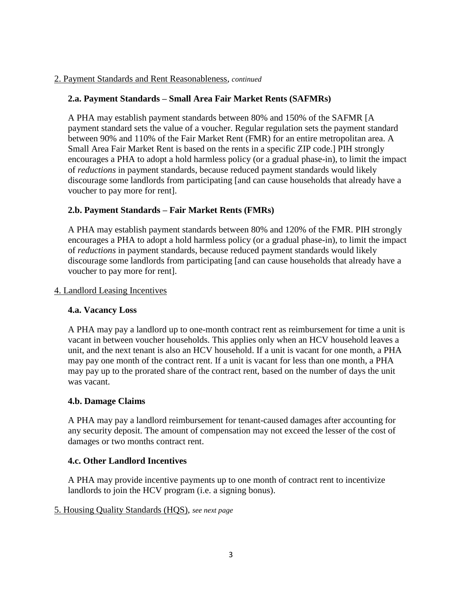### 2. Payment Standards and Rent Reasonableness, *continued*

### **2.a. Payment Standards – Small Area Fair Market Rents (SAFMRs)**

A PHA may establish payment standards between 80% and 150% of the SAFMR [A payment standard sets the value of a voucher. Regular regulation sets the payment standard between 90% and 110% of the Fair Market Rent (FMR) for an entire metropolitan area. A Small Area Fair Market Rent is based on the rents in a specific ZIP code.] PIH strongly encourages a PHA to adopt a hold harmless policy (or a gradual phase-in), to limit the impact of *reductions* in payment standards, because reduced payment standards would likely discourage some landlords from participating [and can cause households that already have a voucher to pay more for rent].

### **2.b. Payment Standards – Fair Market Rents (FMRs)**

A PHA may establish payment standards between 80% and 120% of the FMR. PIH strongly encourages a PHA to adopt a hold harmless policy (or a gradual phase-in), to limit the impact of *reductions* in payment standards, because reduced payment standards would likely discourage some landlords from participating [and can cause households that already have a voucher to pay more for rent].

### 4. Landlord Leasing Incentives

### **4.a. Vacancy Loss**

A PHA may pay a landlord up to one-month contract rent as reimbursement for time a unit is vacant in between voucher households. This applies only when an HCV household leaves a unit, and the next tenant is also an HCV household. If a unit is vacant for one month, a PHA may pay one month of the contract rent. If a unit is vacant for less than one month, a PHA may pay up to the prorated share of the contract rent, based on the number of days the unit was vacant.

### **4.b. Damage Claims**

A PHA may pay a landlord reimbursement for tenant-caused damages after accounting for any security deposit. The amount of compensation may not exceed the lesser of the cost of damages or two months contract rent.

### **4.c. Other Landlord Incentives**

A PHA may provide incentive payments up to one month of contract rent to incentivize landlords to join the HCV program (i.e. a signing bonus).

#### 5. Housing Quality Standards (HQS), *see next page*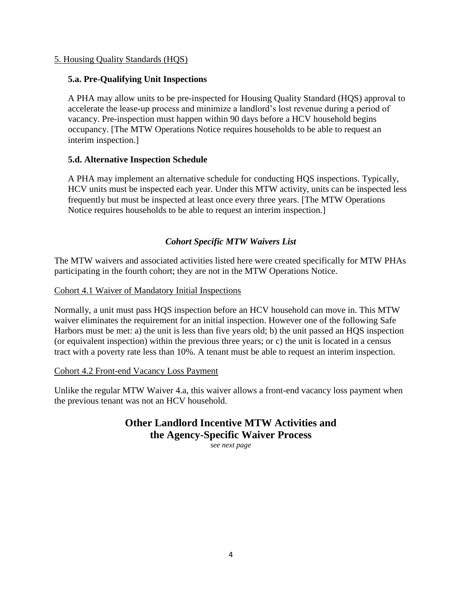### 5. Housing Quality Standards (HQS)

### **5.a. Pre-Qualifying Unit Inspections**

A PHA may allow units to be pre-inspected for Housing Quality Standard (HQS) approval to accelerate the lease-up process and minimize a landlord's lost revenue during a period of vacancy. Pre-inspection must happen within 90 days before a HCV household begins occupancy. [The MTW Operations Notice requires households to be able to request an interim inspection.]

## **5.d. Alternative Inspection Schedule**

A PHA may implement an alternative schedule for conducting HQS inspections. Typically, HCV units must be inspected each year. Under this MTW activity, units can be inspected less frequently but must be inspected at least once every three years. [The MTW Operations Notice requires households to be able to request an interim inspection.]

## *Cohort Specific MTW Waivers List*

The MTW waivers and associated activities listed here were created specifically for MTW PHAs participating in the fourth cohort; they are not in the MTW Operations Notice.

### Cohort 4.1 Waiver of Mandatory Initial Inspections

Normally, a unit must pass HQS inspection before an HCV household can move in. This MTW waiver eliminates the requirement for an initial inspection. However one of the following Safe Harbors must be met: a) the unit is less than five years old; b) the unit passed an HQS inspection (or equivalent inspection) within the previous three years; or c) the unit is located in a census tract with a poverty rate less than 10%. A tenant must be able to request an interim inspection.

### Cohort 4.2 Front-end Vacancy Loss Payment

Unlike the regular MTW Waiver 4.a, this waiver allows a front-end vacancy loss payment when the previous tenant was not an HCV household.

# **Other Landlord Incentive MTW Activities and the Agency-Specific Waiver Process**

*see next page*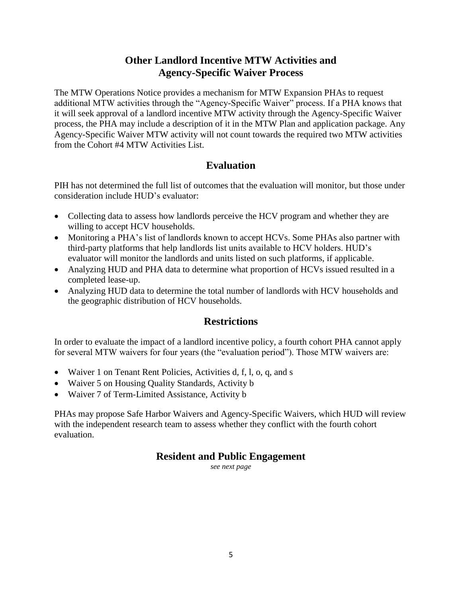## **Other Landlord Incentive MTW Activities and Agency-Specific Waiver Process**

The MTW Operations Notice provides a mechanism for MTW Expansion PHAs to request additional MTW activities through the "Agency-Specific Waiver" process. If a PHA knows that it will seek approval of a landlord incentive MTW activity through the Agency-Specific Waiver process, the PHA may include a description of it in the MTW Plan and application package. Any Agency-Specific Waiver MTW activity will not count towards the required two MTW activities from the Cohort #4 MTW Activities List.

## **Evaluation**

PIH has not determined the full list of outcomes that the evaluation will monitor, but those under consideration include HUD's evaluator:

- Collecting data to assess how landlords perceive the HCV program and whether they are willing to accept HCV households.
- Monitoring a PHA's list of landlords known to accept HCVs. Some PHAs also partner with third-party platforms that help landlords list units available to HCV holders. HUD's evaluator will monitor the landlords and units listed on such platforms, if applicable.
- Analyzing HUD and PHA data to determine what proportion of HCVs issued resulted in a completed lease-up.
- Analyzing HUD data to determine the total number of landlords with HCV households and the geographic distribution of HCV households.

## **Restrictions**

In order to evaluate the impact of a landlord incentive policy, a fourth cohort PHA cannot apply for several MTW waivers for four years (the "evaluation period"). Those MTW waivers are:

- Waiver 1 on Tenant Rent Policies, Activities d, f, l, o, q, and s
- Waiver 5 on Housing Quality Standards, Activity b
- Waiver 7 of Term-Limited Assistance, Activity b

PHAs may propose Safe Harbor Waivers and Agency-Specific Waivers, which HUD will review with the independent research team to assess whether they conflict with the fourth cohort evaluation.

## **Resident and Public Engagement**

*see next page*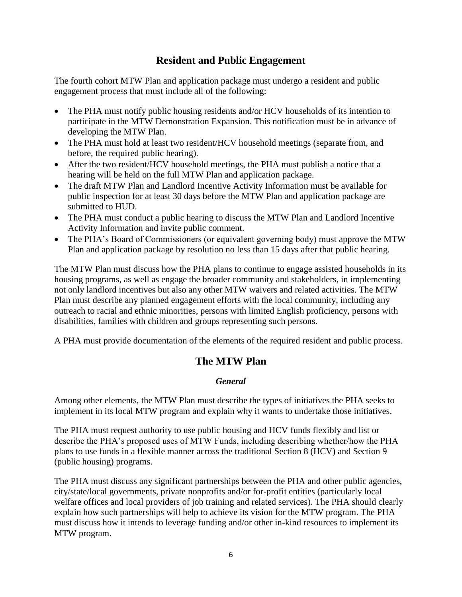## **Resident and Public Engagement**

The fourth cohort MTW Plan and application package must undergo a resident and public engagement process that must include all of the following:

- The PHA must notify public housing residents and/or HCV households of its intention to participate in the MTW Demonstration Expansion. This notification must be in advance of developing the MTW Plan.
- The PHA must hold at least two resident/HCV household meetings (separate from, and before, the required public hearing).
- After the two resident/HCV household meetings, the PHA must publish a notice that a hearing will be held on the full MTW Plan and application package.
- The draft MTW Plan and Landlord Incentive Activity Information must be available for public inspection for at least 30 days before the MTW Plan and application package are submitted to HUD.
- The PHA must conduct a public hearing to discuss the MTW Plan and Landlord Incentive Activity Information and invite public comment.
- The PHA's Board of Commissioners (or equivalent governing body) must approve the MTW Plan and application package by resolution no less than 15 days after that public hearing.

The MTW Plan must discuss how the PHA plans to continue to engage assisted households in its housing programs, as well as engage the broader community and stakeholders, in implementing not only landlord incentives but also any other MTW waivers and related activities. The MTW Plan must describe any planned engagement efforts with the local community, including any outreach to racial and ethnic minorities, persons with limited English proficiency, persons with disabilities, families with children and groups representing such persons.

A PHA must provide documentation of the elements of the required resident and public process.

## **The MTW Plan**

## *General*

Among other elements, the MTW Plan must describe the types of initiatives the PHA seeks to implement in its local MTW program and explain why it wants to undertake those initiatives.

The PHA must request authority to use public housing and HCV funds flexibly and list or describe the PHA's proposed uses of MTW Funds, including describing whether/how the PHA plans to use funds in a flexible manner across the traditional Section 8 (HCV) and Section 9 (public housing) programs.

The PHA must discuss any significant partnerships between the PHA and other public agencies, city/state/local governments, private nonprofits and/or for-profit entities (particularly local welfare offices and local providers of job training and related services). The PHA should clearly explain how such partnerships will help to achieve its vision for the MTW program. The PHA must discuss how it intends to leverage funding and/or other in-kind resources to implement its MTW program.